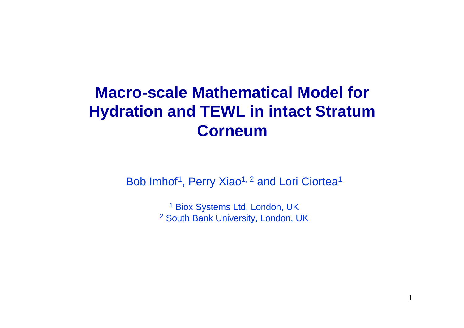# **Macro-scale Mathematical Model for Hydration and TEWL in intact Stratum Corneum**

Bob Imhof<sup>1</sup>, Perry Xiao<sup>1, 2</sup> and Lori Ciortea<sup>1</sup>

<sup>1</sup> Biox Systems Ltd, London, UK <sup>2</sup> South Bank University, London, UK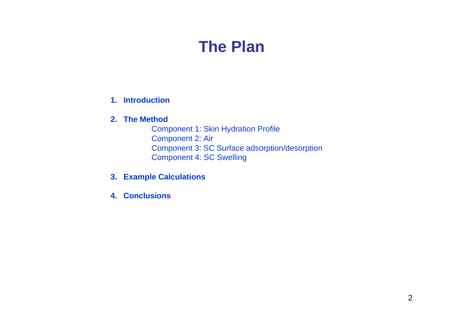### **The Plan**

#### **1. Introduction**

#### **2. The Method**

Component 1: Skin Hydration Profile Component 2: Air Component 3: SC Surface adsorption/desorption Component 4: SC Swelling

- **3. Example Calculations**
- **4. Conclusions**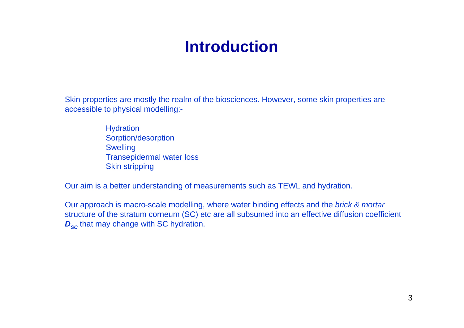# **Introduction**

Skin properties are mostly the realm of the biosciences. However, some skin properties are accessible to physical modelling:-

> **Hydration** Sorption/desorption **Swelling** Transepidermal water loss Skin stripping

Our aim is a better understanding of measurements such as TEWL and hydration.

Our approach is macro-scale modelling, where water binding effects and the *brick & mortar* structure of the stratum corneum (SC) etc are all subsumed into an effective diffusion coefficient *D*<sub>SC</sub> that may change with SC hydration.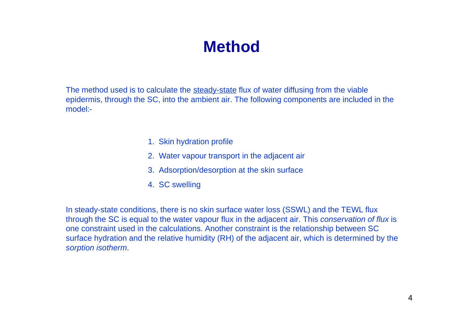### **Method**

The method used is to calculate the steady-state flux of water diffusing from the viable epidermis, through the SC, into the ambient air. The following components are included in the model:-

- 1. Skin hydration profile
- 2. Water vapour transport in the adjacent air
- 3. Adsorption/desorption at the skin surface
- 4. SC swelling

In steady-state conditions, there is no skin surface water loss (SSWL) and the TEWL flux through the SC is equal to the water vapour flux in the adjacent air. This *conservation of flux* is one constraint used in the calculations. Another constraint is the relationship between SC surface hydration and the relative humidity (RH) of the adjacent air, which is determined by the *sorption isotherm*.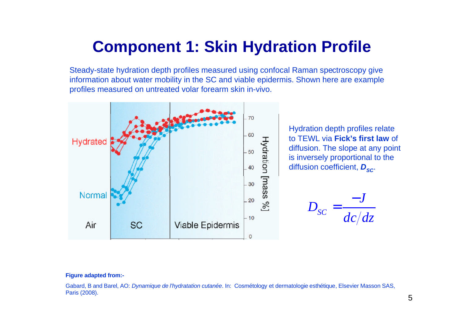# **Component 1: Skin Hydration Profile**

Steady-state hydration depth profiles measured using confocal Raman spectroscopy give information about water mobility in the SC and viable epidermis. Shown here are example profiles measured on untreated volar forearm skin in-vivo.



Hydration depth profiles relate to TEWL via **Fick's first law** of diffusion. The slope at any point is inversely proportional to the diffusion coefficient,  $D_{SC}$ .

*SC J D dc dz* − =

#### **Figure adapted from:-**

Gabard, B and Barel, AO: *Dynamique de l'hydratation cutanée*. In: Cosmétology et dermatologie esthétique, Elsevier Masson SAS, Paris (2008).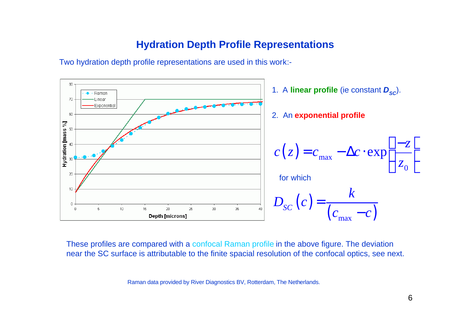#### **Hydration Depth Profile Representations**

Two hydration depth profile representations are used in this work:-



These profiles are compared with a confocal Raman profile in the above figure. The deviation near the SC surface is attributable to the finite spacial resolution of the confocal optics, see next.

Raman data provided by River Diagnostics BV, Rotterdam, The Netherlands.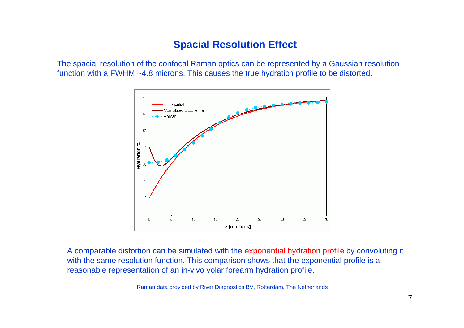### **Spacial Resolution Effect**

The spacial resolution of the confocal Raman optics can be represented by a Gaussian resolution function with a FWHM ~4.8 microns. This causes the true hydration profile to be distorted.



A comparable distortion can be simulated with the exponential hydration profile by convoluting it with the same resolution function. This comparison shows that the exponential profile is a reasonable representation of an in-vivo volar forearm hydration profile.

Raman data provided by River Diagnostics BV, Rotterdam, The Netherlands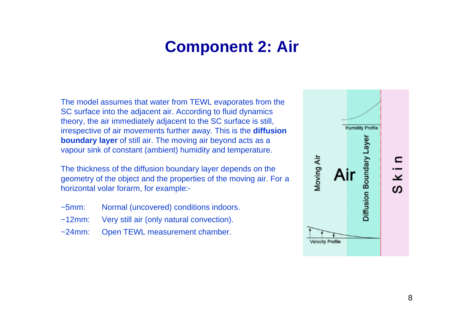# **Component 2: Air**

The model assumes that water from TEWL evaporates from the SC surface into the adjacent air. According to fluid dynamics theory, the air immediately adjacent to the SC surface is still, irrespective of air movements further away. This is the **diffusion boundary layer** of still air. The moving air beyond acts as a vapour sink of constant (ambient) humidity and temperature.

The thickness of the diffusion boundary layer depends on the geometry of the object and the properties of the moving air. For a horizontal volar forarm, for example:-

- ~5mm: Normal (uncovered) conditions indoors.
- ~12mm: Very still air (only natural convection).
- ~24mm: Open TEWL measurement chamber.

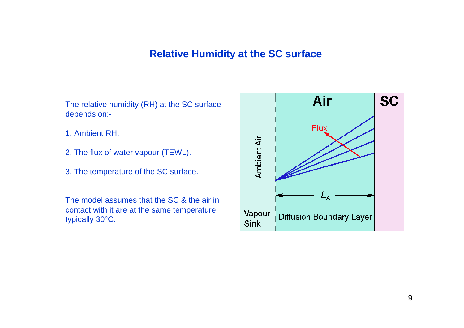### **Relative Humidity at the SC surface**

The relative humidity (RH) at the SC surface depends on:-

- 1. Ambient RH.
- 2. The flux of water vapour (TEWL).
- 3. The temperature of the SC surface.

The model assumes that the SC & the air in contact with it are at the same temperature, typically 30°C.

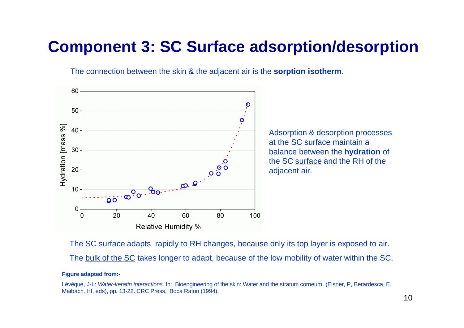### **Component 3: SC Surface adsorption/desorption**

The connection between the skin & the adjacent air is the **sorption isotherm**.



The SC surface adapts rapidly to RH changes, because only its top layer is exposed to air. The bulk of the SC takes longer to adapt, because of the low mobility of water within the SC.

#### **Figure adapted from:-**

Lévêque, J-L: *Water-keratin interactions*. In: Bioengineering of the skin: Water and the stratum corneum. (Elsner, P, Berardesca, E, Maibach, HI, eds), pp. 13-22. CRC Press, Boca Raton (1994).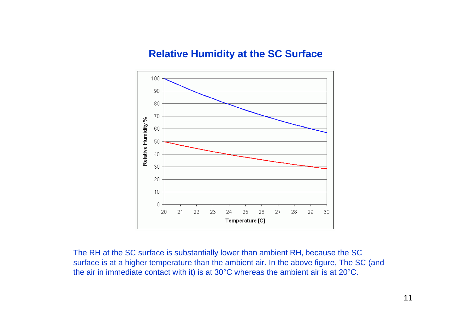#### **Relative Humidity at the SC Surface**



The RH at the SC surface is substantially lower than ambient RH, because the SC surface is at a higher temperature than the ambient air. In the above figure, The SC (and the air in immediate contact with it) is at 30°C whereas the ambient air is at 20°C.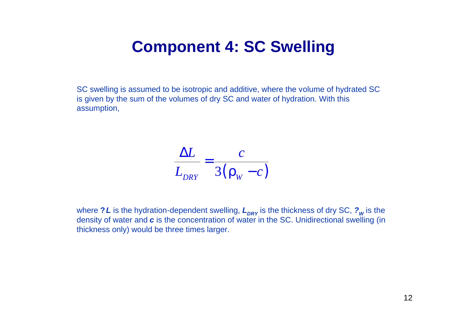### **Component 4: SC Swelling**

SC swelling is assumed to be isotropic and additive, where the volume of hydrated SC is given by the sum of the volumes of dry SC and water of hydration. With this assumption,

$$
\frac{\Delta L}{L_{DRY}} = \frac{c}{3(\mathbf{r}_{w} - c)}
$$

where ? *L* is the hydration-dependent swelling,  $L_{\textit{DRY}}$  is the thickness of dry SC,  $\textit{?}_W$  is the density of water and *c* is the concentration of water in the SC. Unidirectional swelling (in thickness only) would be three times larger.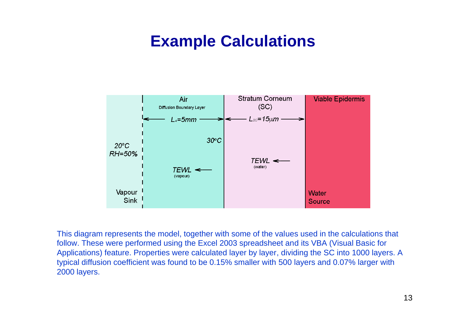### **Example Calculations**



This diagram represents the model, together with some of the values used in the calculations that follow. These were performed using the Excel 2003 spreadsheet and its VBA (Visual Basic for Applications) feature. Properties were calculated layer by layer, dividing the SC into 1000 layers. A typical diffusion coefficient was found to be 0.15% smaller with 500 layers and 0.07% larger with 2000 layers.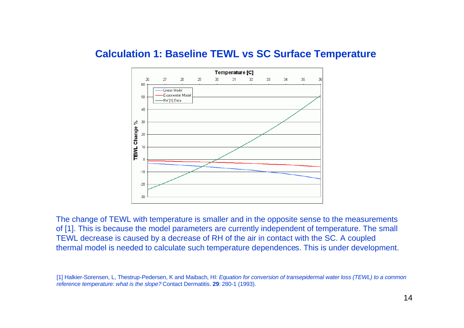#### **Calculation 1: Baseline TEWL vs SC Surface Temperature**



The change of TEWL with temperature is smaller and in the opposite sense to the measurements of [1]. This is because the model parameters are currently independent of temperature. The small TEWL decrease is caused by a decrease of RH of the air in contact with the SC. A coupled thermal model is needed to calculate such temperature dependences. This is under development.

<sup>[1]</sup> Halkier-Sorensen, L, Thestrup-Pedersen, K and Maibach, HI: *Equation for conversion of transepidermal water loss (TEWL) to a common reference temperature: what is the slope?* Contact Dermatitis. **29**: 280-1 (1993).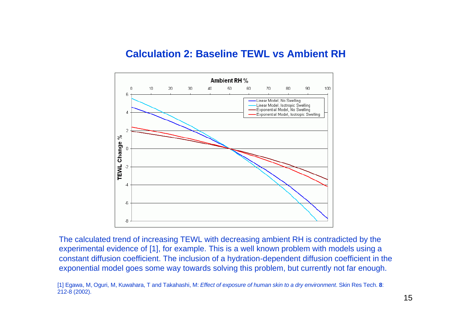#### **Calculation 2: Baseline TEWL vs Ambient RH**



The calculated trend of increasing TEWL with decreasing ambient RH is contradicted by the experimental evidence of [1], for example. This is a well known problem with models using a constant diffusion coefficient. The inclusion of a hydration-dependent diffusion coefficient in the exponential model goes some way towards solving this problem, but currently not far enough.

<sup>[1]</sup> Egawa, M, Oguri, M, Kuwahara, T and Takahashi, M: *Effect of exposure of human skin to a dry environment*. Skin Res Tech. **8**: 212-8 (2002).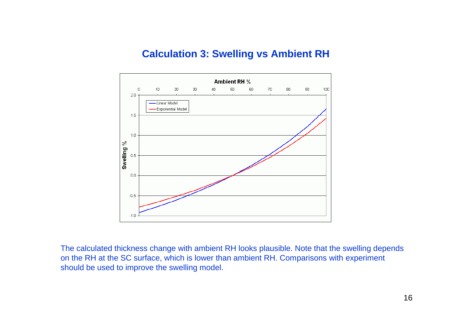### **Calculation 3: Swelling vs Ambient RH**



The calculated thickness change with ambient RH looks plausible. Note that the swelling depends on the RH at the SC surface, which is lower than ambient RH. Comparisons with experiment should be used to improve the swelling model.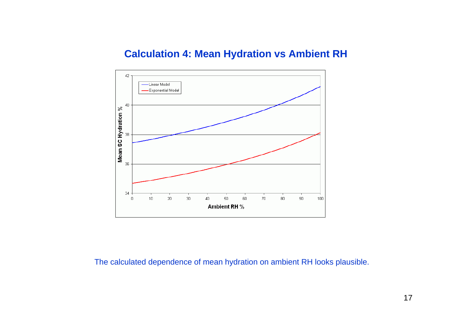#### **Calculation 4: Mean Hydration vs Ambient RH**



The calculated dependence of mean hydration on ambient RH looks plausible.